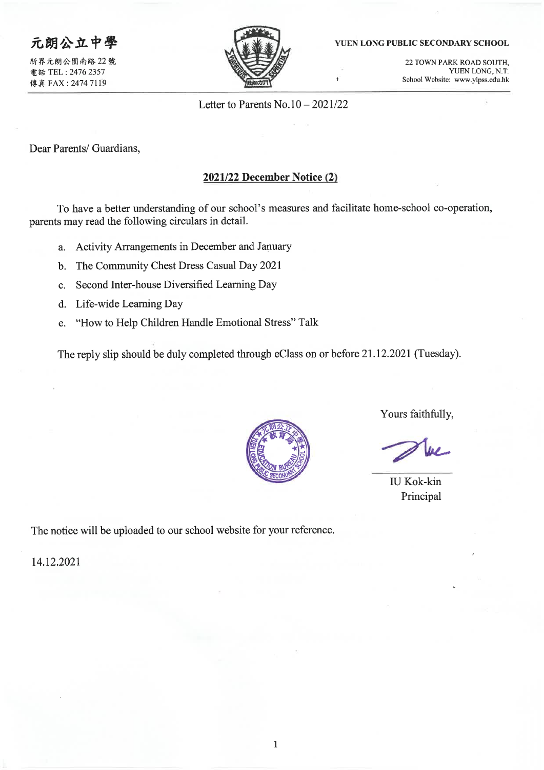# 元朗公立中學

新界元朗公園南路 22號 電話 TEL: 2476 2357 傳真 FAX: 2474 7119



#### YUEN LONG PUBLIC SECONDARY SCHOOL

22 TOWN PARK ROAD SOUTH. YUEN LONG, N.T. School Website: www.ylpss.edu.hk

Letter to Parents  $No.10 - 2021/22$ 

 $\ddot{\phantom{1}}$ 

Dear Parents/ Guardians,

## 2021/22 December Notice (2)

To have a better understanding of our school's measures and facilitate home-school co-operation, parents may read the following circulars in detail.

- a. Activity Arrangements in December and January
- The Community Chest Dress Casual Day 2021  $\mathbf{b}$ .
- Second Inter-house Diversified Learning Day  $\mathbf{c}$ .
- d. Life-wide Learning Day
- "How to Help Children Handle Emotional Stress" Talk e.

The reply slip should be duly completed through eClass on or before 21.12.2021 (Tuesday).



Yours faithfully,

**IU Kok-kin** Principal

The notice will be uploaded to our school website for your reference.

14.12.2021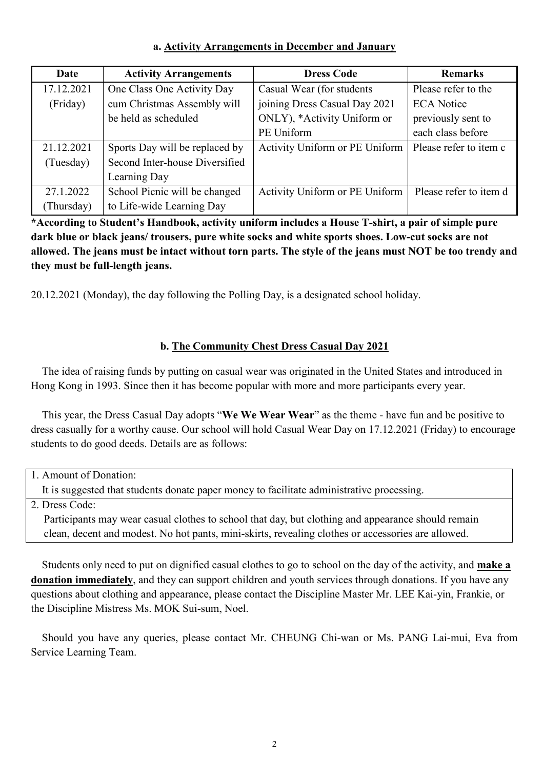## **a. Activity Arrangements in December and January**

| Date       | <b>Activity Arrangements</b>   | <b>Dress Code</b>              | <b>Remarks</b>         |
|------------|--------------------------------|--------------------------------|------------------------|
| 17.12.2021 | One Class One Activity Day     | Casual Wear (for students      | Please refer to the    |
| (Friday)   | cum Christmas Assembly will    | joining Dress Casual Day 2021  | <b>ECA</b> Notice      |
|            | be held as scheduled           | ONLY), *Activity Uniform or    | previously sent to     |
|            |                                | PE Uniform                     | each class before      |
| 21.12.2021 | Sports Day will be replaced by | Activity Uniform or PE Uniform | Please refer to item c |
| (Tuesday)  | Second Inter-house Diversified |                                |                        |
|            | Learning Day                   |                                |                        |
| 27.1.2022  | School Picnic will be changed  | Activity Uniform or PE Uniform | Please refer to item d |
| (Thursday) | to Life-wide Learning Day      |                                |                        |

**\*According to Student's Handbook, activity uniform includes a House T-shirt, a pair of simple pure dark blue or black jeans/ trousers, pure white socks and white sports shoes. Low-cut socks are not allowed. The jeans must be intact without torn parts. The style of the jeans must NOT be too trendy and they must be full-length jeans.** 

20.12.2021 (Monday), the day following the Polling Day, is a designated school holiday.

## **b. The Community Chest Dress Casual Day 2021**

The idea of raising funds by putting on casual wear was originated in the United States and introduced in Hong Kong in 1993. Since then it has become popular with more and more participants every year.

This year, the Dress Casual Day adopts "**We We Wear Wear**" as the theme - have fun and be positive to dress casually for a worthy cause. Our school will hold Casual Wear Day on 17.12.2021 (Friday) to encourage students to do good deeds. Details are as follows:

1. Amount of Donation:

It is suggested that students donate paper money to facilitate administrative processing.

2. Dress Code:

Participants may wear casual clothes to school that day, but clothing and appearance should remain clean, decent and modest. No hot pants, mini-skirts, revealing clothes or accessories are allowed.

Students only need to put on dignified casual clothes to go to school on the day of the activity, and **make a donation immediately**, and they can support children and youth services through donations. If you have any questions about clothing and appearance, please contact the Discipline Master Mr. LEE Kai-yin, Frankie, or the Discipline Mistress Ms. MOK Sui-sum, Noel.

Should you have any queries, please contact Mr. CHEUNG Chi-wan or Ms. PANG Lai-mui, Eva from Service Learning Team.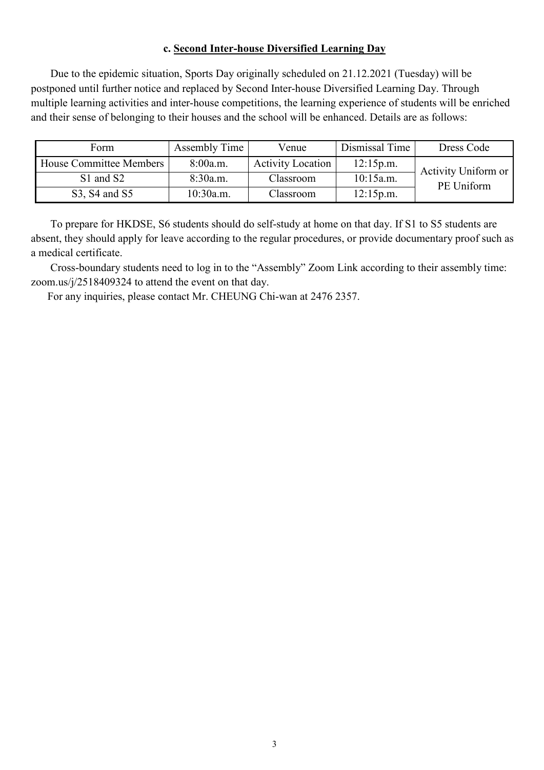### **c. Second Inter-house Diversified Learning Day**

Due to the epidemic situation, Sports Day originally scheduled on 21.12.2021 (Tuesday) will be postponed until further notice and replaced by Second Inter-house Diversified Learning Day. Through multiple learning activities and inter-house competitions, the learning experience of students will be enriched and their sense of belonging to their houses and the school will be enhanced. Details are as follows:

| Form                    | Assembly Time | Venue                    | Dismissal Time | Dress Code          |
|-------------------------|---------------|--------------------------|----------------|---------------------|
| House Committee Members | 8:00a.m.      | <b>Activity Location</b> | 12:15p.m.      | Activity Uniform or |
| S1 and S2               | 8:30a.m.      | Classroom                | 10:15a.m.      | PE Uniform          |
| S3, S4 and S5           | 10:30a.m.     | Classroom                | 12:15p.m.      |                     |

To prepare for HKDSE, S6 students should do self-study at home on that day. If S1 to S5 students are absent, they should apply for leave according to the regular procedures, or provide documentary proof such as a medical certificate.

Cross-boundary students need to log in to the "Assembly" Zoom Link according to their assembly time: [zoom.us/j/2518409324](https://zoom.us/j/2518409324?pwd=ekVWU0JDVlBIWkM0ZmdpWTh5bmRpQT09) to attend the event on that day.

For any inquiries, please contact Mr. CHEUNG Chi-wan at 2476 2357.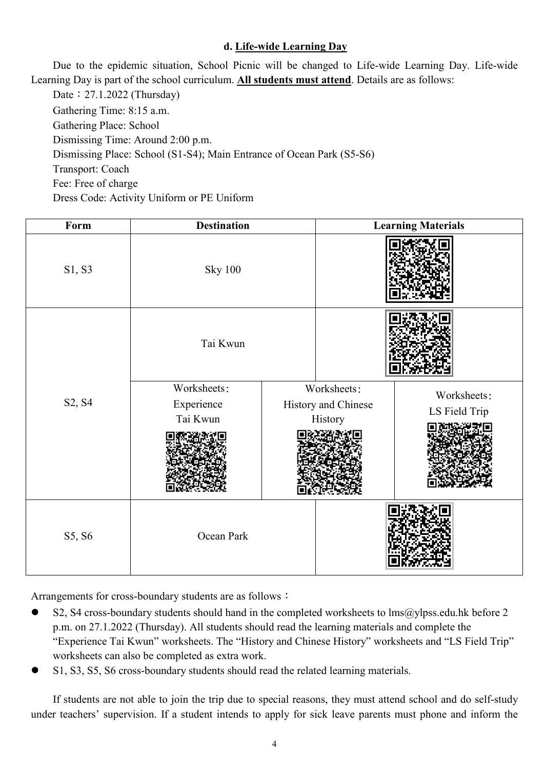## **d. Life-wide Learning Day**

Due to the epidemic situation, School Picnic will be changed to Life-wide Learning Day. Life-wide Learning Day is part of the school curriculum. **All students must attend**. Details are as follows:

Date: 27.1.2022 (Thursday) Gathering Time: 8:15 a.m. Gathering Place: School Dismissing Time: Around 2:00 p.m. Dismissing Place: School (S1-S4); Main Entrance of Ocean Park (S5-S6) Transport: Coach Fee: Free of charge Dress Code: Activity Uniform or PE Uniform

| Form   | <b>Destination</b>                    |  | <b>Learning Materials</b>                     |                              |
|--------|---------------------------------------|--|-----------------------------------------------|------------------------------|
| S1, S3 | <b>Sky 100</b>                        |  |                                               |                              |
|        | Tai Kwun                              |  |                                               |                              |
| S2, S4 | Worksheets:<br>Experience<br>Tai Kwun |  | Worksheets:<br>History and Chinese<br>History | Worksheets:<br>LS Field Trip |
| S5, S6 | Ocean Park                            |  |                                               |                              |

Arrangements for cross-boundary students are as follows:

- S2, S4 cross-boundary students should hand in the completed worksheets to lms@ylpss.edu.hk before 2 p.m. on 27.1.2022 (Thursday). All students should read the learning materials and complete the "Experience Tai Kwun" worksheets. The "History and Chinese History" worksheets and "LS Field Trip" worksheets can also be completed as extra work.
- S1, S3, S5, S6 cross-boundary students should read the related learning materials.

If students are not able to join the trip due to special reasons, they must attend school and do self-study under teachers' supervision. If a student intends to apply for sick leave parents must phone and inform the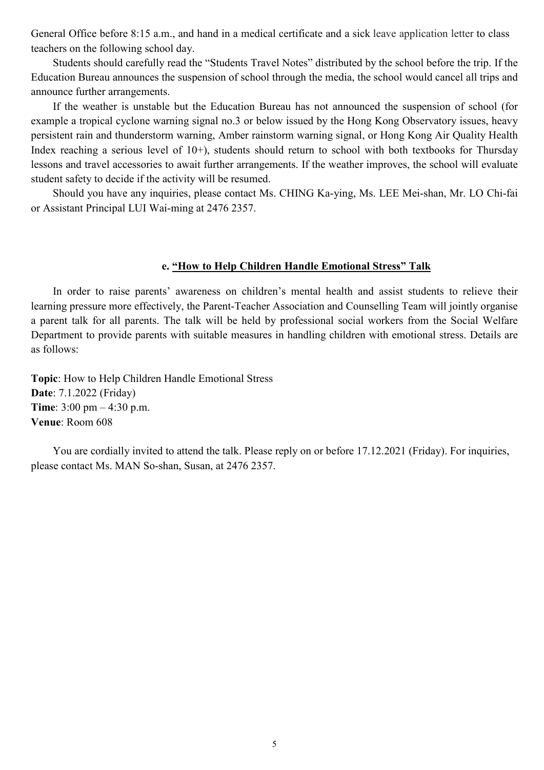General Office before 8:15 a.m., and hand in a medical certificate and a sick leave application letter to class teachers on the following school day.

Students should carefully read the "Students Travel Notes" distributed by the school before the trip. If the Education Bureau announces the suspension of school through the media, the school would cancel all trips and announce further arrangements.

If the weather is unstable but the Education Bureau has not announced the suspension of school (for example a tropical cyclone warning signal no.3 or below issued by the Hong Kong Observatory issues, heavy persistent rain and thunderstorm warning, Amber rainstorm warning signal, or Hong Kong Air Quality Health Index reaching a serious level of 10+), students should return to school with both textbooks for Thursday lessons and travel accessories to await further arrangements. If the weather improves, the school will evaluate student safety to decide if the activity will be resumed.

Should you have any inquiries, please contact Ms. CHING Ka-ying, Ms. LEE Mei-shan, Mr. LO Chi-fai or Assistant Principal LUI Wai-ming at 2476 2357.

### **e. "How to Help Children Handle Emotional Stress" Talk**

In order to raise parents' awareness on children's mental health and assist students to relieve their learning pressure more effectively, the Parent-Teacher Association and Counselling Team will jointly organise a parent talk for all parents. The talk will be held by professional social workers from the Social Welfare Department to provide parents with suitable measures in handling children with emotional stress. Details are as follows:

**Topic**: How to Help Children Handle Emotional Stress **Date**: 7.1.2022 (Friday) **Time**: 3:00 pm – 4:30 p.m. **Venue**: Room 608

You are cordially invited to attend the talk. Please reply on or before 17.12.2021 (Friday). For inquiries, please contact Ms. MAN So-shan, Susan, at 2476 2357.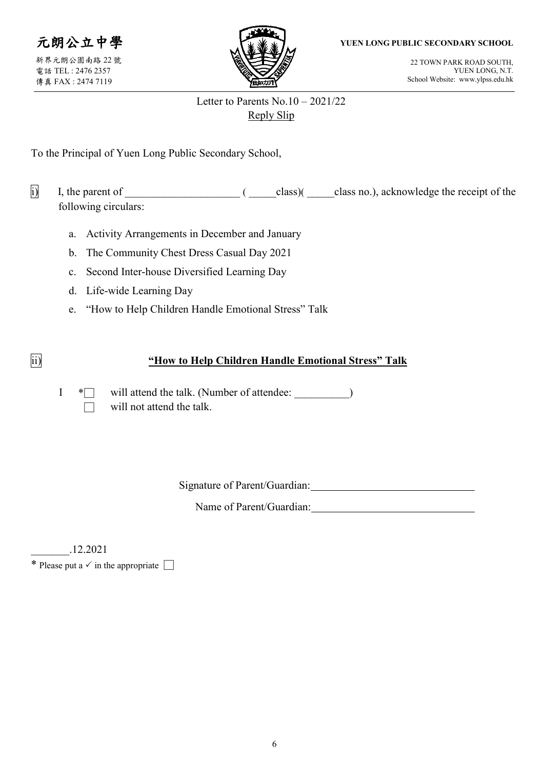### **YUEN LONG PUBLIC SECONDARY SCHOOL**

元朗公立中學 新界元朗公園南路 22 號 電話 TEL : 2476 2357 傳真 FAX : 2474 7119



22 TOWN PARK ROAD SOUTH, YUEN LONG, N.T. School Website: www.ylpss.edu.hk

## Letter to Parents No.10 – 2021/22 Reply Slip

To the Principal of Yuen Long Public Secondary School,

i) I, the parent of \_\_\_\_\_\_\_\_\_\_\_\_\_\_\_\_\_\_\_\_\_ ( \_\_\_\_\_class)( \_\_\_\_\_class no.), acknowledge the receipt of the following circulars:

- a. Activity Arrangements in December and January
- b. The Community Chest Dress Casual Day 2021
- c. Second Inter-house Diversified Learning Day
- d. Life-wide Learning Day
- e. "How to Help Children Handle Emotional Stress" Talk

## ii) **"How to Help Children Handle Emotional Stress" Talk**

I \* will attend the talk. (Number of attendee:  $\qquad \qquad$  )  $\Box$  will not attend the talk.

Signature of Parent/Guardian:

Name of Parent/Guardian:

\_\_\_\_\_\_\_.12.2021

\* Please put a  $\checkmark$  in the appropriate  $\Box$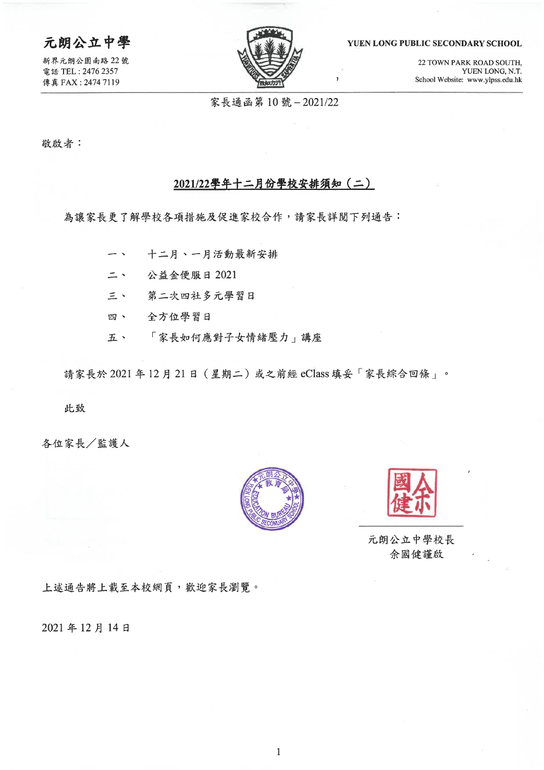## 元朗公立中學

新界元朗公園南路 22號 電話 TEL: 2476 2357 傳真 FAX: 2474 7119



### YUEN LONG PUBLIC SECONDARY SCHOOL

22 TOWN PARK ROAD SOUTH, YUEN LONG, N.T. School Website: www.ylpss.edu.hk

家長通函第10號-2021/22

敬啟者:

### 2021/22學年十二月份學校安排須知 (二)

為讓家長更了解學校各項措施及促進家校合作,請家長詳閱下列通告:

- 十二月、一月活動最新安排  $\overline{\phantom{0}}$ 二、 公益金便服日 2021
- 三、 第二次四社多元學習日
- 四、 全方位學習日
- 「家長如何應對子女情緒壓力」講座 五、

請家長於 2021年12月21日 (星期二) 或之前經 eClass 填妥「家長綜合回條」。

此致

各位家長/監護人





元朗公立中學校長 余國健謹啟

上述通告將上載至本校網頁,歡迎家長瀏覽。

2021年12月14日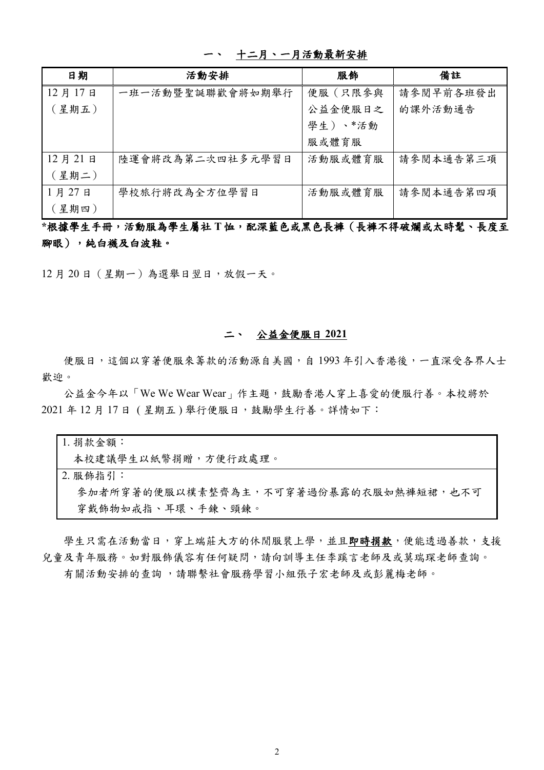| 日期     | 活動安排             | 服飾      | 備註        |
|--------|------------------|---------|-----------|
| 12月17日 | 一班一活動暨聖誕聯歡會將如期舉行 | 便服(只限參與 | 請參閱早前各班發出 |
| (星期五)  |                  | 公益金便服日之 | 的課外活動通告   |
|        |                  | 學生)、*活動 |           |
|        |                  | 服或體育服   |           |
| 12月21日 | 陸運會將改為第二次四社多元學習日 | 活動服或體育服 | 請參閱本通告第三項 |
| (星期二)  |                  |         |           |
| 1月27日  | 學校旅行將改為全方位學習日    | 活動服或體育服 | 請參閱本通告第四項 |
| (星期四)  |                  |         |           |

### 一、 十二月、一月活動最新安排

**\***根據學生手冊,活動服為學生屬社 **T** 恤,配深藍色或黑色長褲(長褲不得破爛或太時髦、長度至 腳眼),純白襪及白波鞋。

12 月 20 日(星期一)為選舉日翌日,放假一天。

### 二、 公益金便服日 **2021**

便服日,這個以穿著便服來籌款的活動源自美國,自1993年引入香港後,一直深受各界人士 歡迎。

公益金今年以「We We Wear Wear」作主題,鼓勵香港人穿上喜愛的便服行善。本校將於 2021年12月17日 (星期五)舉行便服日,鼓勵學生行善。詳情如下:

| 1. 捐款金額:                              |
|---------------------------------------|
| 本校建議學生以紙幣捐贈,方便行政處理。                   |
| 2. 服飾指引:                              |
| 參加者所穿著的便服以樸素整齊為主,不可穿著過份暴露的衣服如熱褲短裙,也不可 |
| 穿戴飾物如戒指、耳環、手鍊、頸鍊。                     |

學生只需在活動當日,穿上端莊大方的休閒服裝上學,並且即時捐款,便能透過善款,支援 兒童及青年服務。如對服飾儀容有任何疑問,請向訓導主任李蹊言老師及或莫瑞琛老師查詢。

有關活動安排的查詢 ,請聯繫社會服務學習小組張子宏老師及或彭麗梅老師。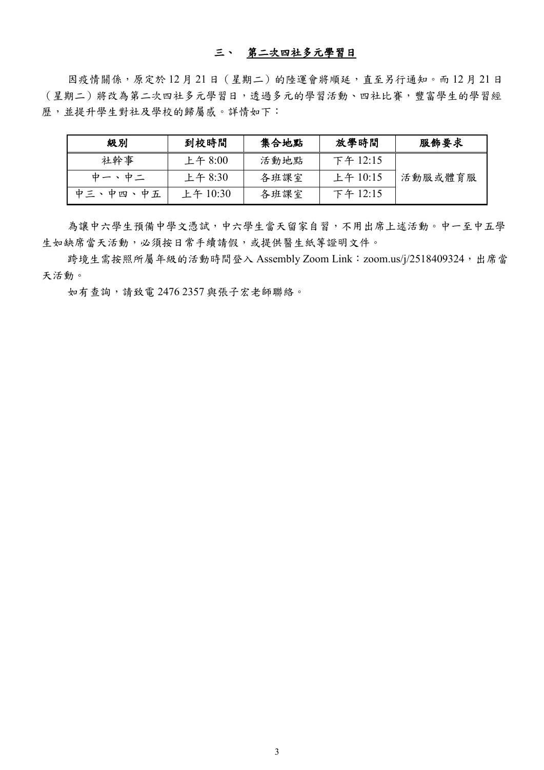### 三、 第二次四社多元學習日

因疫情關係,原定於12月21日 (星期二)的陸運會將順延,直至另行通知。而12月21日 (星期二)將改為第二次四社多元學習日,透過多元的學習活動、四社比賽,豐富學生的學習經 歷,並提升學生對社及學校的歸屬感。詳情如下:

| 級別       | 到校時間      | 集合地點 | 放學時間     | 服飾要求    |
|----------|-----------|------|----------|---------|
| 社幹事      | 上午 $8:00$ | 活動地點 | 下午 12:15 |         |
| 中一、中二    | 上午 $8:30$ | 各班課室 | 上午 10:15 | 活動服或體育服 |
| 中三、中四、中五 | 上午 10:30  | 各班課室 | 下午 12:15 |         |

為讓中六學生預備中學文憑試,中六學生當天留家自習,不用出席上述活動。中一至中五學 生如缺席當天活動,必須按日常手續請假,或提供醫生紙等證明文件。

跨境生需按照所屬年級的活動時間登入 Assembly Zoom Link: [zoom.us/j/2518409324](https://zoom.us/j/2518409324?pwd=ekVWU0JDVlBIWkM0ZmdpWTh5bmRpQT09),出席當 天活動。

如有查詢,請致電 2476 2357 與張子宏老師聯絡。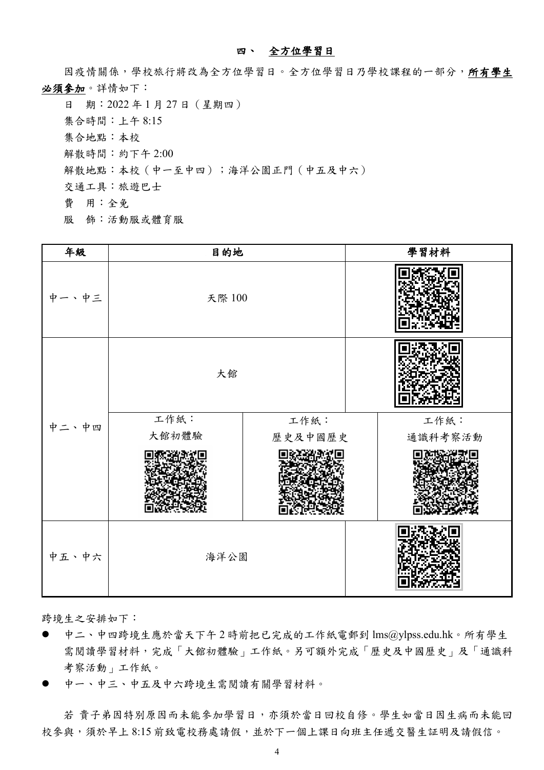### 四、 全方位學習日

因疫情關係,學校旅行將改為全方位學習日。全方位學習日乃學校課程的一部分,所有學生 必須參加。詳情如下:

日 期:2022 年 1 月 27 日(星期四) 集合時間:上午 8:15 集合地點:本校 解散時間:約下午 2:00 解散地點:本校(中一至中四);海洋公園正門(中五及中六) 交通工具:旅遊巴士 費 用:全免 服 飾:活動服或體育服

| 年級    | 目的地    |         | 學習材料    |
|-------|--------|---------|---------|
| 中一、中三 | 天際 100 |         |         |
|       | 大館     |         |         |
| 中二、中四 | 工作紙:   | 工作紙:    | 工作紙:    |
|       | 大館初體驗  | 歷史及中國歷史 | 通識科考察活動 |
|       |        |         |         |
| 中五、中六 | 海洋公園   |         |         |

跨境生之安排如下:

- 中二、中四跨境生應於當天下午 2 時前把已完成的工作紙電郵到 lms@ylpss.edu.hk。所有學生 需閱讀學習材料,完成「大館初體驗」工作紙。另可額外完成「歷史及中國歷史」及「通識科 考察活動」工作紙。
- 中一、中三、中五及中六跨境生需閱讀有關學習材料。

若 貴子弟因特別原因而未能參加學習日,亦須於當日回校自修。學生如當日因生病而未能回 校參與,須於早上 8:15 前致電校務處請假,並於下一個上課日向班主任遞交醫生証明及請假信。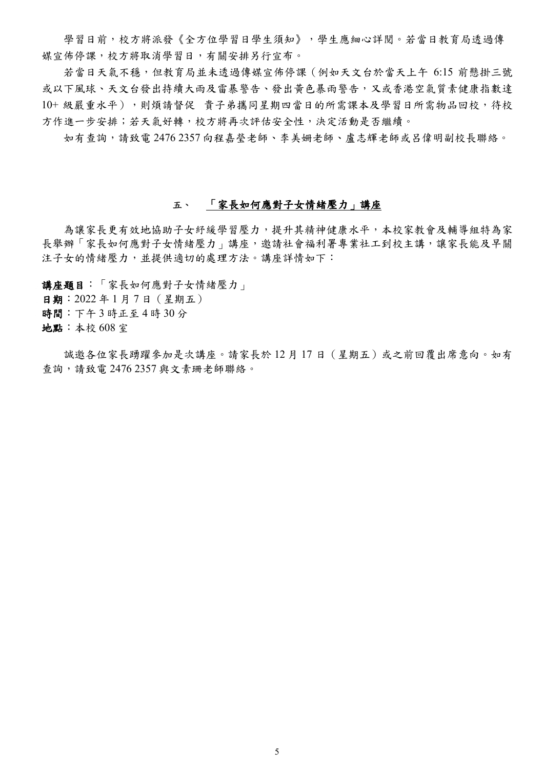學習日前,校方將派發《全方位學習日學生須知》,學生應細心詳閱。若當日教育局透過傳 媒宣佈停課,校方將取消學習日,有關安排另行宣布。

若當日天氣不穩,但教育局並未透過傳媒宣佈停課(例如天文台於當天上午 6:15 前懸掛三號 或以下風球、天文台發出持續大雨及雷暴警告、發出黃色暴雨警告,又或香港空氣質素健康指數達 10+ 級嚴重水平),則煩請督促 貴子弟攜同星期四當日的所需課本及學習日所需物品回校,待校 方作進一步安排;若天氣好轉,校方將再次評估安全性,決定活動是否繼續。

如有查詢,請致電 2476 2357 向程嘉瑩老師、李美姍老師、盧志輝老師或呂偉明副校長聯絡。

### 五、 「家長如何應對子女情緒壓力」講座

為讓家長更有效地協助子女紓緩學習壓力,提升其精神健康水平,本校家教會及輔導組特為家 長舉辦「家長如何應對子女情緒壓力」講座,邀請社會福利署專業社工到校主講,讓家長能及早關 注子女的情緒壓力,並提供適切的處理方法。講座詳情如下:

講座題目:「家長如何應對子女情緒壓力」 日期:2022 年 1 月 7 日(星期五) 時間:下午 3 時正至 4 時 30 分 地點:本校 608 室

誠邀各位家長踴躍參加是次講座。請家長於12月17日 (星期五)或之前回覆出席意向。如有 查詢,請致電 2476 2357 與文素珊老師聯絡。